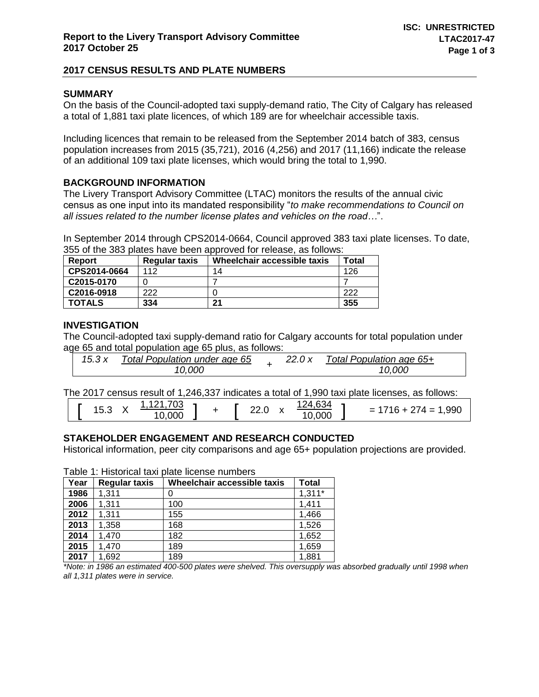# **2017 CENSUS RESULTS AND PLATE NUMBERS**

# **SUMMARY**

On the basis of the Council-adopted taxi supply-demand ratio, The City of Calgary has released a total of 1,881 taxi plate licences, of which 189 are for wheelchair accessible taxis.

Including licences that remain to be released from the September 2014 batch of 383, census population increases from 2015 (35,721), 2016 (4,256) and 2017 (11,166) indicate the release of an additional 109 taxi plate licenses, which would bring the total to 1,990.

# **BACKGROUND INFORMATION**

The Livery Transport Advisory Committee (LTAC) monitors the results of the annual civic census as one input into its mandated responsibility "*to make recommendations to Council on all issues related to the number license plates and vehicles on the road…*".

In September 2014 through CPS2014-0664, Council approved 383 taxi plate licenses. To date, 355 of the 383 plates have been approved for release, as follows:

| <b>Report</b> | Regular taxis | Wheelchair accessible taxis | Total |
|---------------|---------------|-----------------------------|-------|
| CPS2014-0664  | 112           | 14                          | 126   |
| C2015-0170    |               |                             |       |
| C2016-0918    | 222           |                             | 222   |
| <b>TOTALS</b> | 334           | 21                          | 355   |

### **INVESTIGATION**

The Council-adopted taxi supply-demand ratio for Calgary accounts for total population under age 65 and total population age 65 plus, as follows:

| Total Population under age 65<br>15.3x |  |  | 22.0 x | Total Population age 65+ |  |
|----------------------------------------|--|--|--------|--------------------------|--|
| 10.000                                 |  |  |        | 10,000                   |  |

The 2017 census result of 1,246,337 indicates a total of 1,990 taxi plate licenses, as follows:

| 152<br>ט.טו | ,703<br>121,<br><b>CONTRACTOR</b><br>10,000 |  |  | 22.0 | $\cdot$<br>́ | 124,634<br>10,000 |  | ,990<br>$274 = 1$<br>$716 +$<br>$=$ |
|-------------|---------------------------------------------|--|--|------|--------------|-------------------|--|-------------------------------------|
|-------------|---------------------------------------------|--|--|------|--------------|-------------------|--|-------------------------------------|

# **STAKEHOLDER ENGAGEMENT AND RESEARCH CONDUCTED**

Historical information, peer city comparisons and age 65+ population projections are provided.

| Table T. Historical taxi plate license numbers |                      |                             |          |  |  |  |
|------------------------------------------------|----------------------|-----------------------------|----------|--|--|--|
| Year                                           | <b>Regular taxis</b> | Wheelchair accessible taxis | Total    |  |  |  |
| 1986                                           | 1,311                |                             | $1,311*$ |  |  |  |
| 2006                                           | 1,311                | 100                         | 1,411    |  |  |  |
| 2012                                           | 1,311                | 155                         | 1,466    |  |  |  |
| 2013                                           | 1,358                | 168                         | 1,526    |  |  |  |
| 2014                                           | 1,470                | 182                         | 1,652    |  |  |  |
| 2015                                           | 1,470                | 189                         | 1,659    |  |  |  |
| 2017                                           | 1,692                | 189                         | 1,881    |  |  |  |

Table 1: Historical taxi plate license numbers

*\*Note: in 1986 an estimated 400-500 plates were shelved. This oversupply was absorbed gradually until 1998 when all 1,311 plates were in service.*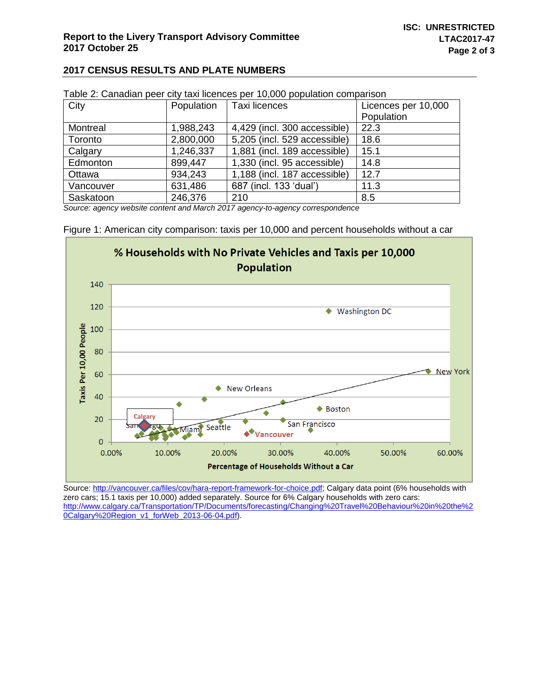### **2017 CENSUS RESULTS AND PLATE NUMBERS**

| <b>1 apro 2. Canadian poor ony tani hoonooo por 10,000 population companion</b> |            |                              |                     |  |  |
|---------------------------------------------------------------------------------|------------|------------------------------|---------------------|--|--|
| City                                                                            | Population | Taxi licences                | Licences per 10,000 |  |  |
|                                                                                 |            |                              | Population          |  |  |
| Montreal                                                                        | 1,988,243  | 4,429 (incl. 300 accessible) | 22.3                |  |  |
| Toronto                                                                         | 2,800,000  | 5,205 (incl. 529 accessible) | 18.6                |  |  |
| Calgary                                                                         | 1,246,337  | 1,881 (incl. 189 accessible) | 15.1                |  |  |
| Edmonton                                                                        | 899,447    | 1,330 (incl. 95 accessible)  | 14.8                |  |  |
| Ottawa                                                                          | 934,243    | 1,188 (incl. 187 accessible) | 12.7                |  |  |
| Vancouver                                                                       | 631,486    | 687 (incl. 133 'dual')       | 11.3                |  |  |
| Saskatoon                                                                       | 246,376    | 210                          | 8.5                 |  |  |

| Table 2: Canadian peer city taxi licences per 10,000 population comparison |  |  |  |
|----------------------------------------------------------------------------|--|--|--|
|                                                                            |  |  |  |

*Source: agency website content and March 2017 agency-to-agency correspondence*

Figure 1: American city comparison: taxis per 10,000 and percent households without a car



Source[: http://vancouver.ca/files/cov/hara-report-framework-for-choice.pdf;](http://vancouver.ca/files/cov/hara-report-framework-for-choice.pdf) Calgary data point (6% households with zero cars; 15.1 taxis per 10,000) added separately. Source for 6% Calgary households with zero cars: [http://www.calgary.ca/Transportation/TP/Documents/forecasting/Changing%20Travel%20Behaviour%20in%20the%2](http://www.calgary.ca/Transportation/TP/Documents/forecasting/Changing%20Travel%20Behaviour%20in%20the%20Calgary%20Region_v1_forWeb_2013-06-04.pdf) [0Calgary%20Region\\_v1\\_forWeb\\_2013-06-04.pdf\)](http://www.calgary.ca/Transportation/TP/Documents/forecasting/Changing%20Travel%20Behaviour%20in%20the%20Calgary%20Region_v1_forWeb_2013-06-04.pdf).